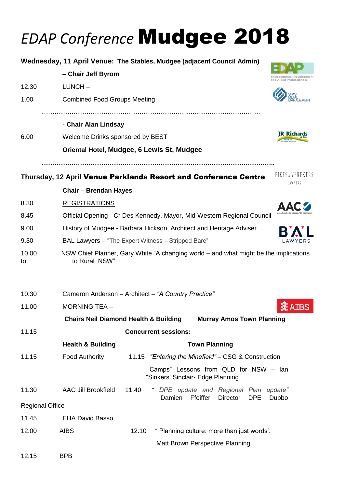## *EDAP Conference* Mudgee 2018

|                                                                                      |                                                                        |       | Wednesday, 11 April Venue: The Stables, Mudgee (adjacent Council Admin)                |                                                      |  |  |
|--------------------------------------------------------------------------------------|------------------------------------------------------------------------|-------|----------------------------------------------------------------------------------------|------------------------------------------------------|--|--|
|                                                                                      | - Chair Jeff Byrom                                                     |       |                                                                                        | Environmental Development<br>nd Allied Professionals |  |  |
| 12.30                                                                                | $LUNCH -$                                                              |       |                                                                                        |                                                      |  |  |
| 1.00                                                                                 | <b>Combined Food Groups Meeting</b>                                    |       |                                                                                        |                                                      |  |  |
|                                                                                      | - Chair Alan Lindsay                                                   |       |                                                                                        |                                                      |  |  |
| 6.00                                                                                 | Welcome Drinks sponsored by BEST                                       |       |                                                                                        | <b>JR Richards</b>                                   |  |  |
|                                                                                      | Oriental Hotel, Mudgee, 6 Lewis St, Mudgee                             |       |                                                                                        |                                                      |  |  |
|                                                                                      |                                                                        |       | Thursday, 12 April Venue Parklands Resort and Conference Centre                        | PIKES & VEREKERS<br>LAWYERS                          |  |  |
|                                                                                      | <b>Chair - Brendan Hayes</b>                                           |       |                                                                                        |                                                      |  |  |
| 8.30                                                                                 | <b>REGISTRATIONS</b>                                                   |       |                                                                                        |                                                      |  |  |
| 8.45                                                                                 | Official Opening - Cr Des Kennedy, Mayor, Mid-Western Regional Council |       |                                                                                        |                                                      |  |  |
| 9.00                                                                                 | History of Mudgee - Barbara Hickson, Architect and Heritage Adviser    |       |                                                                                        |                                                      |  |  |
| 9.30                                                                                 | BAL Lawyers - "The Expert Witness - Stripped Bare"                     |       |                                                                                        |                                                      |  |  |
| 10.00<br>to                                                                          | to Rural NSW"                                                          |       | NSW Chief Planner, Gary White "A changing world – and what might be the implications   |                                                      |  |  |
| 10.30                                                                                |                                                                        |       | Cameron Anderson - Architect - "A Country Practice"                                    |                                                      |  |  |
| 11.00                                                                                | MORNING TEA -                                                          |       |                                                                                        | <b>《AIBS</b>                                         |  |  |
| <b>Chairs Neil Diamond Health &amp; Building</b><br><b>Murray Amos Town Planning</b> |                                                                        |       |                                                                                        |                                                      |  |  |
| 11.15                                                                                |                                                                        |       | <b>Concurrent sessions:</b>                                                            |                                                      |  |  |
|                                                                                      | <b>Health &amp; Building</b>                                           |       | <b>Town Planning</b>                                                                   |                                                      |  |  |
| 11.15                                                                                | Food Authority                                                         |       | 11.15 "Entering the Minefield" - CSG & Construction                                    |                                                      |  |  |
|                                                                                      |                                                                        |       | Camps" Lessons from QLD for NSW - Ian<br>"Sinkers' Sinclair- Edge Planning             |                                                      |  |  |
| 11.30                                                                                | <b>AAC Jill Brookfield</b>                                             | 11.40 | " DPE update and Regional Plan update"<br><b>DPE</b><br>Damien<br>Ffeiffer<br>Director | Dubbo                                                |  |  |
| <b>Regional Office</b>                                                               |                                                                        |       |                                                                                        |                                                      |  |  |
| 11.45                                                                                | <b>EHA David Basso</b>                                                 |       |                                                                                        |                                                      |  |  |
| 12.00                                                                                | <b>AIBS</b>                                                            | 12.10 | " Planning culture: more than just words'.                                             |                                                      |  |  |
|                                                                                      |                                                                        |       | Matt Brown Perspective Planning                                                        |                                                      |  |  |

12.15 BPB